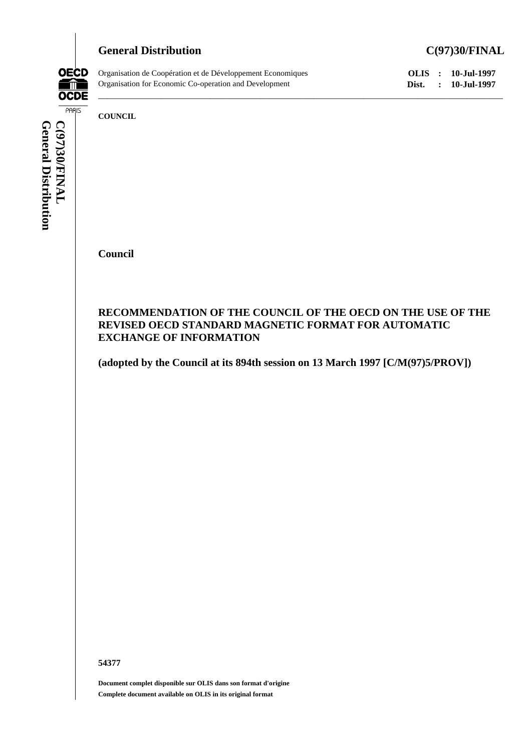## General Distribution C(97)30/FINAL



Organisation de Coopération et de Développement Economiques **OLIS : 10-Jul-1997**<br>
Organisation for Economic Co-operation and Development **Dist.** : 10-Jul-1997 Organisation for Economic Co-operation and Development **Dist. : 10-Jul-1997**

**COUNCIL**

**Council**

## **RECOMMENDATION OF THE COUNCIL OF THE OECD ON THE USE OF THE REVISED OECD STANDARD MAGNETIC FORMAT FOR AUTOMATIC EXCHANGE OF INFORMATION**

\_\_\_\_\_\_\_\_\_\_\_\_\_\_\_\_\_\_\_\_\_\_\_\_\_\_\_\_\_\_\_\_\_\_\_\_\_\_\_\_\_\_\_\_\_\_\_\_\_\_\_\_\_\_\_\_\_\_\_\_\_\_\_\_\_\_\_\_\_\_\_\_\_\_\_\_\_\_\_\_\_\_\_\_\_\_\_\_\_\_

**(adopted by the Council at its 894th session on 13 March 1997 [C/M(97)5/PROV])**

**54377**

**Document complet disponible sur OLIS dans son format d'origine Complete document available on OLIS in its original format**